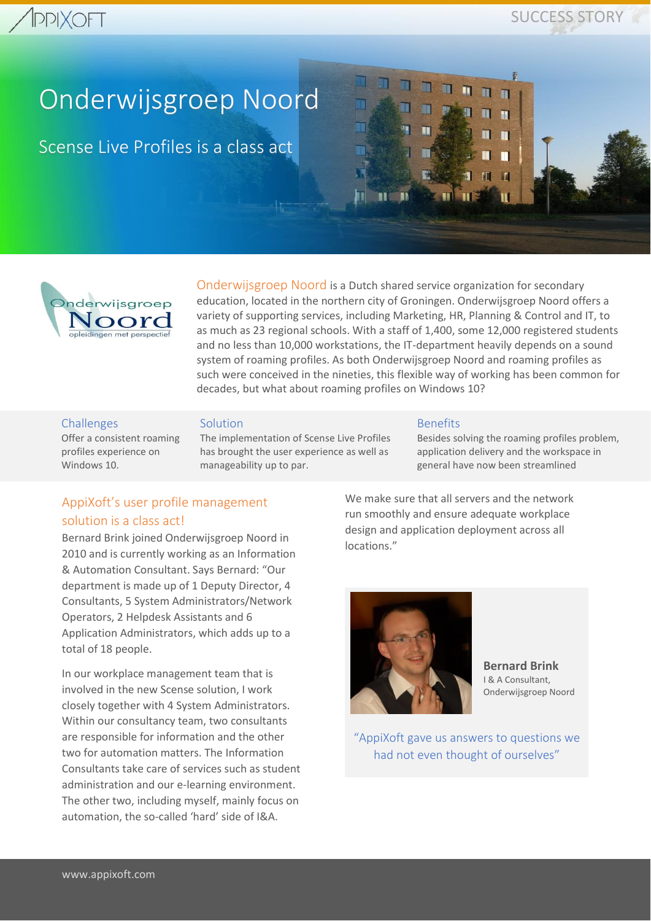### **PPIXOFT**

### SUCCESS STORY

## Onderwijsgroep Noord

Scense Live Profiles is a class act



Onderwijsgroep Noord is a Dutch shared service organization for secondary education, located in the northern city of Groningen. Onderwijsgroep Noord offers a variety of supporting services, including Marketing, HR, Planning & Control and IT, to as much as 23 regional schools. With a staff of 1,400, some 12,000 registered students and no less than 10,000 workstations, the IT-department heavily depends on a sound system of roaming profiles. As both Onderwijsgroep Noord and roaming profiles as such were conceived in the nineties, this flexible way of working has been common for decades, but what about roaming profiles on Windows 10?

#### **Challenges**

Offer a consistent roaming profiles experience on Windows 10

Solution

The implementation of Scense Live Profiles has brought the user experience as well as manageability up to par.

#### Benefits

Besides solving the roaming profiles problem, application delivery and the workspace in general have now been streamlined

П

#### AppiXoft's user profile management solution is a class act!

Bernard Brink joined Onderwijsgroep Noord in 2010 and is currently working as an Information & Automation Consultant. Says Bernard: "Our department is made up of 1 Deputy Director, 4 Consultants, 5 System Administrators/Network Operators, 2 Helpdesk Assistants and 6 Application Administrators, which adds up to a total of 18 people.

In our workplace management team that is involved in the new Scense solution, I work closely together with 4 System Administrators. Within our consultancy team, two consultants are responsible for information and the other two for automation matters. The Information Consultants take care of services such as student administration and our e-learning environment. The other two, including myself, mainly focus on automation, the so-called 'hard' side of I&A.

We make sure that all servers and the network run smoothly and ensure adequate workplace design and application deployment across all locations."



**Bernard Brink** I & A Consultant, Onderwijsgroep Noord

"AppiXoft gave us answers to questions we had not even thought of ourselves"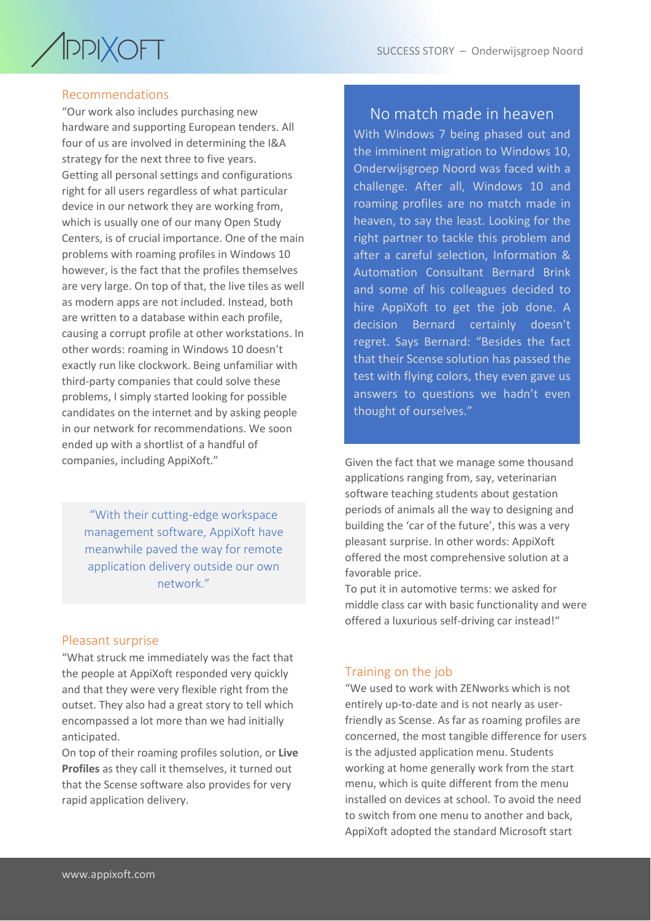## / PPIXOFT

#### Recommendations

"Our work also includes purchasing new hardware and supporting European tenders. All four of us are involved in determining the I&A strategy for the next three to five years. Getting all personal settings and configurations right for all users regardless of what particular device in our network they are working from, which is usually one of our many Open Study Centers, is of crucial importance. One of the main problems with roaming profiles in Windows 10 however, is the fact that the profiles themselves are very large. On top of that, the live tiles as well as modern apps are not included. Instead, both are written to a database within each profile, causing a corrupt profile at other workstations. In other words: roaming in Windows 10 doesn't exactly run like clockwork. Being unfamiliar with third-party companies that could solve these problems, I simply started looking for possible candidates on the internet and by asking people in our network for recommendations. We soon ended up with a shortlist of a handful of companies, including AppiXoft."

"With their cutting-edge workspace management software, AppiXoft have meanwhile paved the way for remote application delivery outside our own network."

#### Pleasant surprise

"What struck me immediately was the fact that the people at AppiXoft responded very quickly and that they were very flexible right from the outset. They also had a great story to tell which encompassed a lot more than we had initially anticipated.

On top of their roaming profiles solution, or **Live Profiles** as they call it themselves, it turned out that the Scense software also provides for very rapid application delivery.

#### No match made in heaven

With Windows 7 being phased out and the imminent migration to Windows 10, Onderwijsgroep Noord was faced with a challenge. After all, Windows 10 and roaming profiles are no match made in heaven, to say the least. Looking for the right partner to tackle this problem and after a careful selection, Information & Automation Consultant Bernard Brink and some of his colleagues decided to hire AppiXoft to get the job done. A decision Bernard certainly doesn't regret. Says Bernard: "Besides the fact that their Scense solution has passed the test with flying colors, they even gave us answers to questions we hadn't even thought of ourselves."

Given the fact that we manage some thousand applications ranging from, say, veterinarian software teaching students about gestation periods of animals all the way to designing and building the 'car of the future', this was a very pleasant surprise. In other words: AppiXoft offered the most comprehensive solution at a favorable price.

To put it in automotive terms: we asked for middle class car with basic functionality and were offered a luxurious self-driving car instead!"

#### Training on the job

"We used to work with ZENworks which is not entirely up-to-date and is not nearly as userfriendly as Scense. As far as roaming profiles are concerned, the most tangible difference for users is the adjusted application menu. Students working at home generally work from the start menu, which is quite different from the menu installed on devices at school. To avoid the need to switch from one menu to another and back, AppiXoft adopted the standard Microsoft start